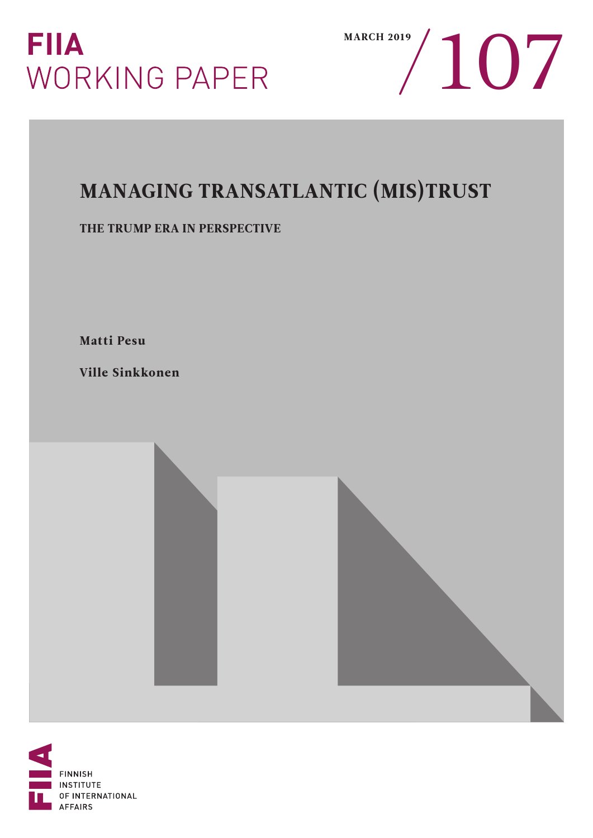



# MANAGING TRANSATLANTIC (MIS)TRUST

### THE TRUMP ERA IN PERSPECTIVE

Matti Pesu

Ville Sinkkonen

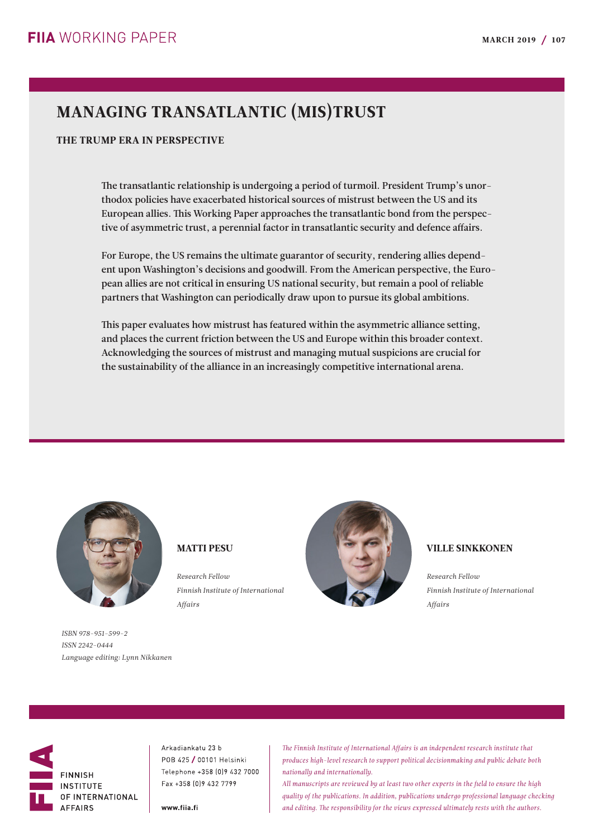## MANAGING TRANSATLANTIC (MIS)TRUST

#### THE TRUMP ERA IN PERSPECTIVE

The transatlantic relationship is undergoing a period of turmoil. President Trump's unorthodox policies have exacerbated historical sources of mistrust between the US and its European allies. This Working Paper approaches the transatlantic bond from the perspective of asymmetric trust, a perennial factor in transatlantic security and defence affairs.

For Europe, the US remains the ultimate guarantor of security, rendering allies dependent upon Washington's decisions and goodwill. From the American perspective, the European allies are not critical in ensuring US national security, but remain a pool of reliable partners that Washington can periodically draw upon to pursue its global ambitions.

This paper evaluates how mistrust has featured within the asymmetric alliance setting, and places the current friction between the US and Europe within this broader context. Acknowledging the sources of mistrust and managing mutual suspicions are crucial for the sustainability of the alliance in an increasingly competitive international arena.



*Finnish Institute of International Affairs*



#### VILLE SINKKONEN

*Research Fellow Finnish Institute of International Affairs*

*ISBN 978-951-599-2 ISSN 2242-0444 Language editing: Lynn Nikkanen*



Arkadiankatu 23 b POB 425 / 00101 Helsinki Telephone +358 (0) 9 432 7000 Fax +358 [0] 9 432 7799

MATTI PESU

*Research Fellow*

www.fiia.fi

*The Finnish Institute of International Affairs is an independent research institute that produces high-level research to support political decisionmaking and public debate both nationally and internationally.*

*All manuscripts are reviewed by at least two other experts in the field to ensure the high quality of the publications. In addition, publications undergo professional language checking and editing. The responsibility for the views expressed ultimately rests with the authors.*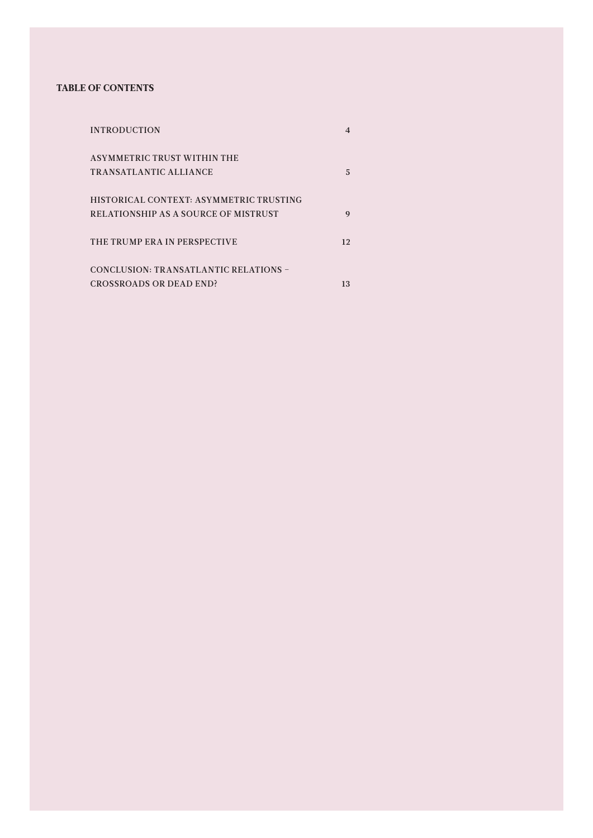#### TABLE OF CONTENTS

| <b>INTRODUCTION</b>                     | 4  |
|-----------------------------------------|----|
| <b>ASYMMETRIC TRUST WITHIN THE</b>      |    |
| TRANSATLANTIC ALLIANCE                  | 5. |
| HISTORICAL CONTEXT: ASYMMETRIC TRUSTING |    |
| RELATIONSHIP AS A SOURCE OF MISTRUST    | 9  |
| THE TRUMP ERA IN PERSPECTIVE            | 12 |
| CONCLUSION: TRANSATLANTIC RELATIONS -   |    |
| <b>CROSSROADS OR DEAD END?</b>          | 13 |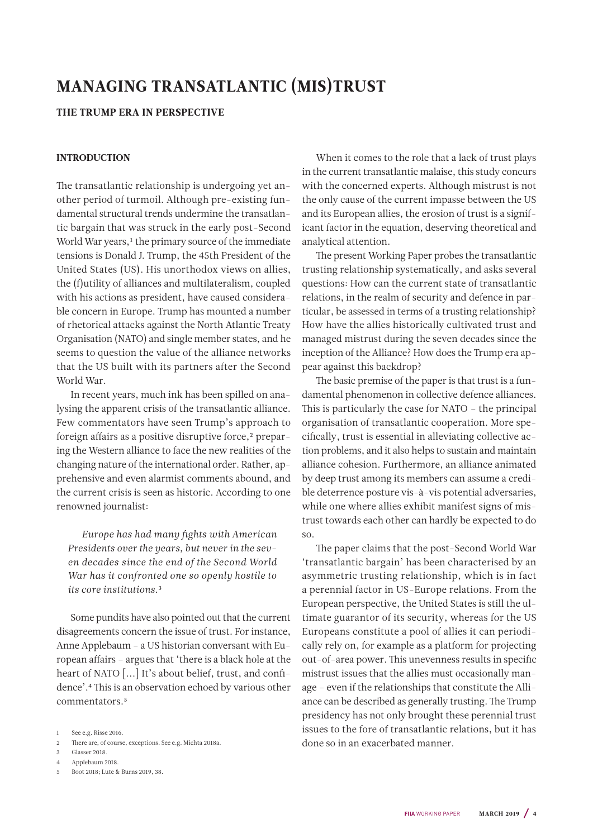### <span id="page-3-0"></span>MANAGING TRANSATLANTIC (MIS)TRUST

#### THE TRUMP ERA IN PERSPECTIVE

#### INTRODUCTION

The transatlantic relationship is undergoing yet another period of turmoil. Although pre-existing fundamental structural trends undermine the transatlantic bargain that was struck in the early post-Second World War years,<sup>1</sup> the primary source of the immediate tensions is Donald J. Trump, the 45th President of the United States (US). His unorthodox views on allies, the (f)utility of alliances and multilateralism, coupled with his actions as president, have caused considerable concern in Europe. Trump has mounted a number of rhetorical attacks against the North Atlantic Treaty Organisation (NATO) and single member states, and he seems to question the value of the alliance networks that the US built with its partners after the Second World War.

In recent years, much ink has been spilled on analysing the apparent crisis of the transatlantic alliance. Few commentators have seen Trump's approach to foreign affairs as a positive disruptive force,<sup>2</sup> preparing the Western alliance to face the new realities of the changing nature of the international order. Rather, apprehensive and even alarmist comments abound, and the current crisis is seen as historic. According to one renowned journalist:

*Europe has had many fights with American Presidents over the years, but never in the seven decades since the end of the Second World War has it confronted one so openly hostile to its core institutions.*3

Some pundits have also pointed out that the current disagreements concern the issue of trust. For instance, Anne Applebaum – a US historian conversant with European affairs – argues that 'there is a black hole at the heart of NATO [...] It's about belief, trust, and confidence'.4 This is an observation echoed by various other commentators.5

3 Glasser 2018.

- 4 Applebaum 2018.
- 5 Boot 2018; Lute & Burns 2019, 38.

When it comes to the role that a lack of trust plays in the current transatlantic malaise, this study concurs with the concerned experts. Although mistrust is not the only cause of the current impasse between the US and its European allies, the erosion of trust is a significant factor in the equation, deserving theoretical and analytical attention.

The present Working Paper probes the transatlantic trusting relationship systematically, and asks several questions: How can the current state of transatlantic relations, in the realm of security and defence in particular, be assessed in terms of a trusting relationship? How have the allies historically cultivated trust and managed mistrust during the seven decades since the inception of the Alliance? How does the Trump era appear against this backdrop?

The basic premise of the paper is that trust is a fundamental phenomenon in collective defence alliances. This is particularly the case for NATO – the principal organisation of transatlantic cooperation. More specifically, trust is essential in alleviating collective action problems, and it also helps to sustain and maintain alliance cohesion. Furthermore, an alliance animated by deep trust among its members can assume a credible deterrence posture vis-à-vis potential adversaries, while one where allies exhibit manifest signs of mistrust towards each other can hardly be expected to do so.

The paper claims that the post-Second World War 'transatlantic bargain' has been characterised by an asymmetric trusting relationship, which is in fact a perennial factor in US-Europe relations. From the European perspective, the United States is still the ultimate guarantor of its security, whereas for the US Europeans constitute a pool of allies it can periodically rely on, for example as a platform for projecting out-of-area power. This unevenness results in specific mistrust issues that the allies must occasionally manage – even if the relationships that constitute the Alliance can be described as generally trusting. The Trump presidency has not only brought these perennial trust issues to the fore of transatlantic relations, but it has done so in an exacerbated manner.

<sup>1</sup> See e.g. Risse 2016.

<sup>2</sup> There are, of course, exceptions. See e.g. Michta 2018a.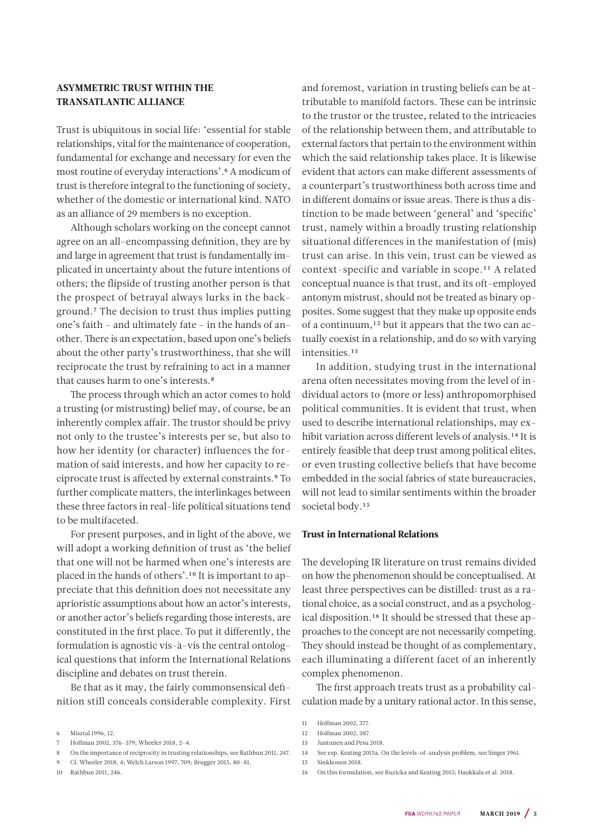#### ASYMMETRIC TRUST WITHIN THE TRANSATLANTIC ALLIANCE

Trust is ubiquitous in social life: 'essential for stable relationships, vital for the maintenance of cooperation, fundamental for exchange and necessary for even the most routine of everyday interactions'.6 A modicum of trust is therefore integral to the functioning of society, whether of the domestic or international kind. NATO as an alliance of 29 members is no exception.

Although scholars working on the concept cannot agree on an all-encompassing definition, they are by and large in agreement that trust is fundamentally implicated in uncertainty about the future intentions of others; the flipside of trusting another person is that the prospect of betrayal always lurks in the background.7 The decision to trust thus implies putting one's faith – and ultimately fate – in the hands of another. There is an expectation, based upon one's beliefs about the other party's trustworthiness, that she will reciprocate the trust by refraining to act in a manner that causes harm to one's interests.<sup>8</sup>

The process through which an actor comes to hold a trusting (or mistrusting) belief may, of course, be an inherently complex affair. The trustor should be privy not only to the trustee's interests per se, but also to how her identity (or character) influences the formation of said interests, and how her capacity to reciprocate trust is affected by external constraints.9 To further complicate matters, the interlinkages between these three factors in real-life political situations tend to be multifaceted.

For present purposes, and in light of the above, we will adopt a working definition of trust as 'the belief that one will not be harmed when one's interests are placed in the hands of others'.10 It is important to appreciate that this definition does not necessitate any aprioristic assumptions about how an actor's interests, or another actor's beliefs regarding those interests, are constituted in the first place. To put it differently, the formulation is agnostic vis-à-vis the central ontological questions that inform the International Relations discipline and debates on trust therein.

Be that as it may, the fairly commonsensical definition still conceals considerable complexity. First

8 On the importance of reciprocity in trusting relationships, see Rathbun 2011, 247.

10 Rathbun 2011, 246.

and foremost, variation in trusting beliefs can be attributable to manifold factors. These can be intrinsic to the trustor or the trustee, related to the intricacies of the relationship between them, and attributable to external factors that pertain to the environment within which the said relationship takes place. It is likewise evident that actors can make different assessments of a counterpart's trustworthiness both across time and in different domains or issue areas. There is thus a distinction to be made between 'general' and 'specific' trust, namely within a broadly trusting relationship situational differences in the manifestation of (mis) trust can arise. In this vein, trust can be viewed as context-specific and variable in scope.11 A related conceptual nuance is that trust, and its oft-employed antonym mistrust, should not be treated as binary opposites. Some suggest that they make up opposite ends of a continuum,12 but it appears that the two can actually coexist in a relationship, and do so with varying intensities.13

In addition, studying trust in the international arena often necessitates moving from the level of individual actors to (more or less) anthropomorphised political communities. It is evident that trust, when used to describe international relationships, may exhibit variation across different levels of analysis.14 It is entirely feasible that deep trust among political elites, or even trusting collective beliefs that have become embedded in the social fabrics of state bureaucracies, will not lead to similar sentiments within the broader societal body.<sup>15</sup>

#### Trust in International Relations

The developing IR literature on trust remains divided on how the phenomenon should be conceptualised. At least three perspectives can be distilled: trust as a rational choice, as a social construct, and as a psychological disposition.16 It should be stressed that these approaches to the concept are not necessarily competing. They should instead be thought of as complementary, each illuminating a different facet of an inherently complex phenomenon.

The first approach treats trust as a probability calculation made by a unitary rational actor. In this sense,

14 See esp. Keating 2015a. On the levels-of-analysis problem, see Singer 1961.

<sup>6</sup> Misztal 1996, 12.

<sup>7</sup> Hoffman 2002, 376–379; Wheeler 2018, 2–4.

<sup>9</sup> Cf. Wheeler 2018, 4; Welch Larson 1997, 709; Brugger 2015, 80–81.

<sup>11</sup> Hoffman 2002, 377.

<sup>12</sup> Hoffman 2002, 387.

<sup>13</sup> Juntunen and Pesu 2018.

<sup>15</sup> Sinkkonen 2018.

<sup>16</sup> On this formulation, see Ruzicka and Keating 2015; Haukkala et al. 2018.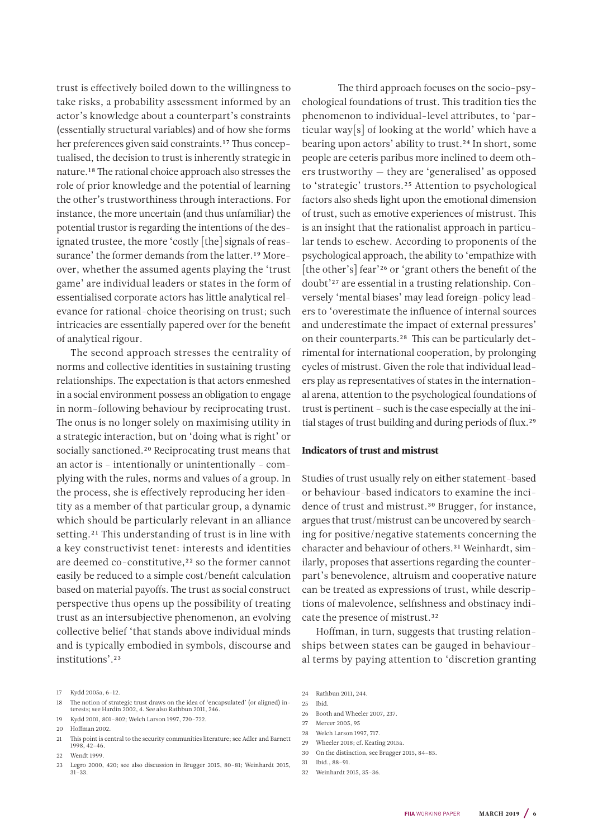trust is effectively boiled down to the willingness to take risks, a probability assessment informed by an actor's knowledge about a counterpart's constraints (essentially structural variables) and of how she forms her preferences given said constraints.<sup>17</sup> Thus conceptualised, the decision to trust is inherently strategic in nature.18 The rational choice approach also stresses the role of prior knowledge and the potential of learning the other's trustworthiness through interactions. For instance, the more uncertain (and thus unfamiliar) the potential trustor is regarding the intentions of the designated trustee, the more 'costly [the] signals of reassurance' the former demands from the latter.19 Moreover, whether the assumed agents playing the 'trust game' are individual leaders or states in the form of essentialised corporate actors has little analytical relevance for rational-choice theorising on trust; such intricacies are essentially papered over for the benefit of analytical rigour.

The second approach stresses the centrality of norms and collective identities in sustaining trusting relationships. The expectation is that actors enmeshed in a social environment possess an obligation to engage in norm-following behaviour by reciprocating trust. The onus is no longer solely on maximising utility in a strategic interaction, but on 'doing what is right' or socially sanctioned.<sup>20</sup> Reciprocating trust means that an actor is – intentionally or unintentionally – complying with the rules, norms and values of a group. In the process, she is effectively reproducing her identity as a member of that particular group, a dynamic which should be particularly relevant in an alliance setting.<sup>21</sup> This understanding of trust is in line with a key constructivist tenet: interests and identities are deemed co-constitutive,<sup>22</sup> so the former cannot easily be reduced to a simple cost/benefit calculation based on material payoffs. The trust as social construct perspective thus opens up the possibility of treating trust as an intersubjective phenomenon, an evolving collective belief 'that stands above individual minds and is typically embodied in symbols, discourse and institutions'.23

- 19 Kydd 2001, 801–802; Welch Larson 1997, 720–722.
- 20 Hoffman 2002.
- 21 This point is central to the security communities literature; see Adler and Barnett 1998, 42–46.
- 22 Wendt 1999.
- 23 Legro 2000, 420; see also discussion in Brugger 2015, 80–81; Weinhardt 2015, 31–33.

 The third approach focuses on the socio-psychological foundations of trust. This tradition ties the phenomenon to individual-level attributes, to 'particular way[s] of looking at the world' which have a bearing upon actors' ability to trust.24 In short, some people are ceteris paribus more inclined to deem others trustworthy — they are 'generalised' as opposed to 'strategic' trustors.25 Attention to psychological factors also sheds light upon the emotional dimension of trust, such as emotive experiences of mistrust. This is an insight that the rationalist approach in particular tends to eschew. According to proponents of the psychological approach, the ability to 'empathize with [the other's] fear'<sup>26</sup> or 'grant others the benefit of the doubt'27 are essential in a trusting relationship. Conversely 'mental biases' may lead foreign-policy leaders to 'overestimate the influence of internal sources and underestimate the impact of external pressures' on their counterparts.28 This can be particularly detrimental for international cooperation, by prolonging cycles of mistrust. Given the role that individual leaders play as representatives of states in the international arena, attention to the psychological foundations of trust is pertinent – such is the case especially at the initial stages of trust building and during periods of flux.29

#### Indicators of trust and mistrust

Studies of trust usually rely on either statement-based or behaviour-based indicators to examine the incidence of trust and mistrust.<sup>30</sup> Brugger, for instance, argues that trust/mistrust can be uncovered by searching for positive/negative statements concerning the character and behaviour of others.31 Weinhardt, similarly, proposes that assertions regarding the counterpart's benevolence, altruism and cooperative nature can be treated as expressions of trust, while descriptions of malevolence, selfishness and obstinacy indicate the presence of mistrust.32

Hoffman, in turn, suggests that trusting relationships between states can be gauged in behavioural terms by paying attention to 'discretion granting

- 25 Ibid.
- 26 Booth and Wheeler 2007, 237.
- 27 Mercer 2005, 95
- 28 Welch Larson 1997, 717.
- 29 Wheeler 2018; cf. Keating 2015a.
- 30 On the distinction, see Brugger 2015, 84–85.
- 31 Ibid., 88–91.
- 32 Weinhardt 2015, 35–36.

<sup>17</sup> Kydd 2005a, 6–12.

<sup>18</sup> The notion of strategic trust draws on the idea of 'encapsulated' (or aligned) interests; see Hardin 2002, 4. See also Rathbun 2011, 246.

<sup>24</sup> Rathbun 2011, 244.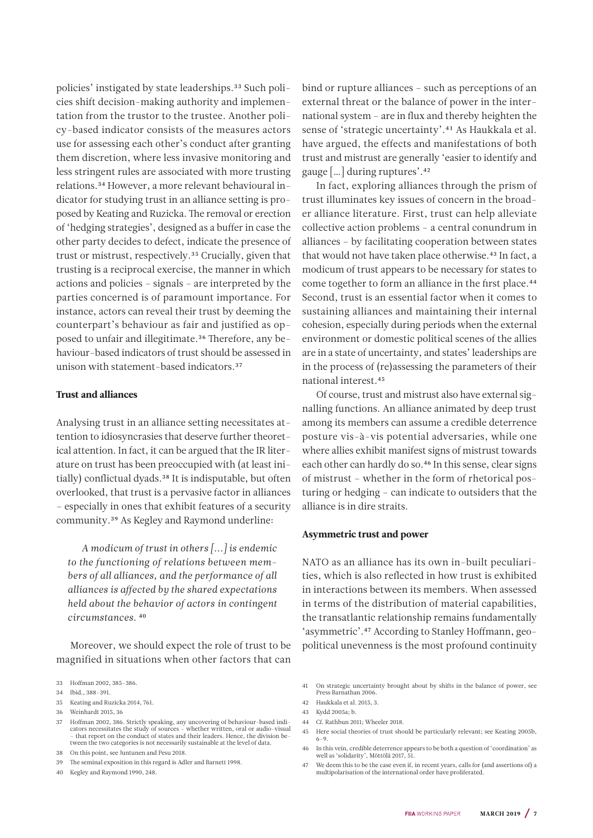policies' instigated by state leaderships.<sup>33</sup> Such policies shift decision-making authority and implementation from the trustor to the trustee. Another policy-based indicator consists of the measures actors use for assessing each other's conduct after granting them discretion, where less invasive monitoring and less stringent rules are associated with more trusting relations.34 However, a more relevant behavioural indicator for studying trust in an alliance setting is proposed by Keating and Ruzicka. The removal or erection of 'hedging strategies', designed as a buffer in case the other party decides to defect, indicate the presence of trust or mistrust, respectively.35 Crucially, given that trusting is a reciprocal exercise, the manner in which actions and policies – signals – are interpreted by the parties concerned is of paramount importance. For instance, actors can reveal their trust by deeming the counterpart's behaviour as fair and justified as opposed to unfair and illegitimate.<sup>36</sup> Therefore, any behaviour-based indicators of trust should be assessed in unison with statement-based indicators<sup>37</sup>

#### Trust and alliances

Analysing trust in an alliance setting necessitates attention to idiosyncrasies that deserve further theoretical attention. In fact, it can be argued that the IR literature on trust has been preoccupied with (at least initially) conflictual dyads.<sup>38</sup> It is indisputable, but often overlooked, that trust is a pervasive factor in alliances – especially in ones that exhibit features of a security community.39 As Kegley and Raymond underline:

*A modicum of trust in others [...] is endemic to the functioning of relations between members of all alliances, and the performance of all alliances is affected by the shared expectations held about the behavior of actors in contingent circumstances.* 40

Moreover, we should expect the role of trust to be magnified in situations when other factors that can

- 35 Keating and Ruzicka 2014, 761.
- 36 Weinhardt 2015, 36
- 37 Hoffman 2002, 386. Strictly speaking, any uncovering of behaviour-based indicators necessitates the study of sources – whether written, oral or audio-visual – that report on the conduct of states and their leaders. Hence, the division between the two categories is not necessarily sustainable at the level of data.
- 38 On this point, see Juntunen and Pesu 2018.
- 39 The seminal exposition in this regard is Adler and Barnett 1998.
- 40 Kegley and Raymond 1990, 248.

bind or rupture alliances – such as perceptions of an external threat or the balance of power in the international system – are in flux and thereby heighten the sense of 'strategic uncertainty'.41 As Haukkala et al. have argued, the effects and manifestations of both trust and mistrust are generally 'easier to identify and gauge […] during ruptures'.42

In fact, exploring alliances through the prism of trust illuminates key issues of concern in the broader alliance literature. First, trust can help alleviate collective action problems – a central conundrum in alliances – by facilitating cooperation between states that would not have taken place otherwise.<sup>43</sup> In fact, a modicum of trust appears to be necessary for states to come together to form an alliance in the first place.<sup>44</sup> Second, trust is an essential factor when it comes to sustaining alliances and maintaining their internal cohesion, especially during periods when the external environment or domestic political scenes of the allies are in a state of uncertainty, and states' leaderships are in the process of (re)assessing the parameters of their national interest.45

Of course, trust and mistrust also have external signalling functions. An alliance animated by deep trust among its members can assume a credible deterrence posture vis-à-vis potential adversaries, while one where allies exhibit manifest signs of mistrust towards each other can hardly do so.<sup>46</sup> In this sense, clear signs of mistrust – whether in the form of rhetorical posturing or hedging – can indicate to outsiders that the alliance is in dire straits.

#### Asymmetric trust and power

NATO as an alliance has its own in-built peculiarities, which is also reflected in how trust is exhibited in interactions between its members. When assessed in terms of the distribution of material capabilities, the transatlantic relationship remains fundamentally 'asymmetric'.47 According to Stanley Hoffmann, geopolitical unevenness is the most profound continuity

- 43 Kydd 2005a; b.
- 44 Cf. Rathbun 2011; Wheeler 2018.
- 45 Here social theories of trust should be particularly relevant; see Keating 2005b, 6–9.
- 46 In this vein, credible deterrence appears to be both a question of 'coordination' as well as 'solidarity', Möttölä 2017, 51.
- 47 We deem this to be the case even if, in recent years, calls for (and assertions of) a multipolarisation of the international order have proliferated.

<sup>33</sup> Hoffman 2002, 385–386.

<sup>34</sup> Ibid., 388–391.

<sup>41</sup> On strategic uncertainty brought about by shifts in the balance of power, see Press Barnathan 2006.

<sup>42</sup> Haukkala et al. 2015, 3.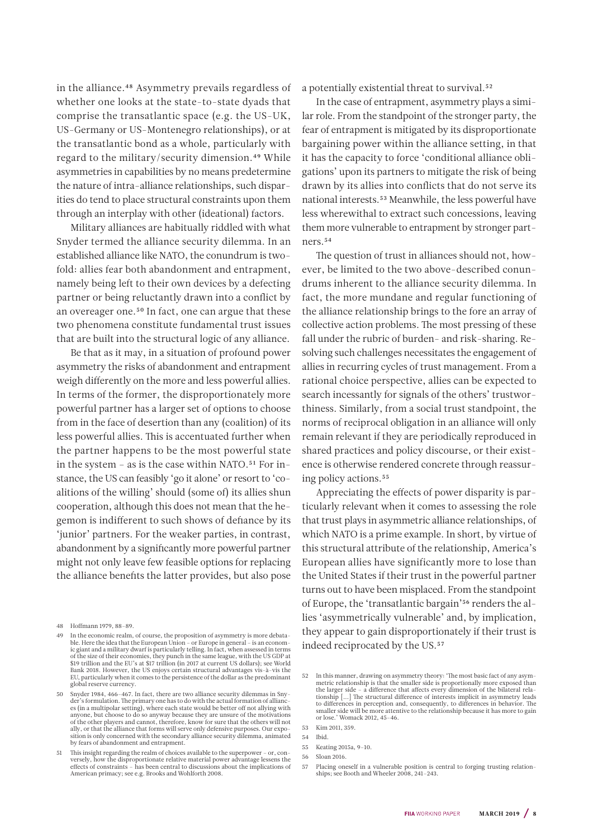in the alliance.<sup>48</sup> Asymmetry prevails regardless of whether one looks at the state-to-state dyads that comprise the transatlantic space (e.g. the US-UK, US-Germany or US-Montenegro relationships), or at the transatlantic bond as a whole, particularly with regard to the military/security dimension.49 While asymmetries in capabilities by no means predetermine the nature of intra-alliance relationships, such disparities do tend to place structural constraints upon them through an interplay with other (ideational) factors.

Military alliances are habitually riddled with what Snyder termed the alliance security dilemma. In an established alliance like NATO, the conundrum is twofold: allies fear both abandonment and entrapment, namely being left to their own devices by a defecting partner or being reluctantly drawn into a conflict by an overeager one.50 In fact, one can argue that these two phenomena constitute fundamental trust issues that are built into the structural logic of any alliance.

Be that as it may, in a situation of profound power asymmetry the risks of abandonment and entrapment weigh differently on the more and less powerful allies. In terms of the former, the disproportionately more powerful partner has a larger set of options to choose from in the face of desertion than any (coalition) of its less powerful allies. This is accentuated further when the partner happens to be the most powerful state in the system – as is the case within NATO.51 For instance, the US can feasibly 'go it alone' or resort to 'coalitions of the willing' should (some of) its allies shun cooperation, although this does not mean that the hegemon is indifferent to such shows of defiance by its 'junior' partners. For the weaker parties, in contrast, abandonment by a significantly more powerful partner might not only leave few feasible options for replacing the alliance benefits the latter provides, but also pose

a potentially existential threat to survival.52

In the case of entrapment, asymmetry plays a similar role. From the standpoint of the stronger party, the fear of entrapment is mitigated by its disproportionate bargaining power within the alliance setting, in that it has the capacity to force 'conditional alliance obligations' upon its partners to mitigate the risk of being drawn by its allies into conflicts that do not serve its national interests.53 Meanwhile, the less powerful have less wherewithal to extract such concessions, leaving them more vulnerable to entrapment by stronger partners.54

The question of trust in alliances should not, however, be limited to the two above-described conundrums inherent to the alliance security dilemma. In fact, the more mundane and regular functioning of the alliance relationship brings to the fore an array of collective action problems. The most pressing of these fall under the rubric of burden- and risk-sharing. Resolving such challenges necessitates the engagement of allies in recurring cycles of trust management. From a rational choice perspective, allies can be expected to search incessantly for signals of the others' trustworthiness. Similarly, from a social trust standpoint, the norms of reciprocal obligation in an alliance will only remain relevant if they are periodically reproduced in shared practices and policy discourse, or their existence is otherwise rendered concrete through reassuring policy actions.<sup>55</sup>

Appreciating the effects of power disparity is particularly relevant when it comes to assessing the role that trust plays in asymmetric alliance relationships, of which NATO is a prime example. In short, by virtue of this structural attribute of the relationship, America's European allies have significantly more to lose than the United States if their trust in the powerful partner turns out to have been misplaced. From the standpoint of Europe, the 'transatlantic bargain'56 renders the allies 'asymmetrically vulnerable' and, by implication, they appear to gain disproportionately if their trust is indeed reciprocated by the US.<sup>57</sup>

<sup>48</sup> Hoffmann 1979, 88–89.

<sup>49</sup> In the economic realm, of course, the proposition of asymmetry is more debatable. Here the idea that the European Union – or Europe in general – is an econom-ic giant and a military dwarf is particularly telling. In fact, when assessed in terms of the size of their economies, they punch in the same league, with the US GDP at \$19 trillion and the EU's at \$17 trillion (in 2017 at current US dollars); see World Bank 2018. However, the US enjoys certain structural advantages vis-à-vis the EU, particularly when it comes to the persistence of the dollar as the predominant global reserve currency.

<sup>50</sup> Snyder 1984, 466–467. In fact, there are two alliance security dilemmas in Snyder's formulation. The primary one has to do with the actual formation of alliance es (in a multipolar setting), where each state would be better off not allying with anyone, but choose to do so anyway because they are unsure of the motivations of the other players and cannot, therefore, know for sure that the others will not ally, or that the alliance that forms will serve only defensive purposes. Our exposition is only concerned with the secondary alliance security dilemma, animated by fears of abandonment and entrapment.

<sup>51</sup> This insight regarding the realm of choices available to the superpower - or, conversely, how the disproportionate relative material power advantage lessens the effects of constraints - has been central to discussions a American primacy; see e.g. Brooks and Wohlforth 2008.

<sup>52</sup> In this manner, drawing on asymmetry theory: 'The most basic fact of any asymmetric relationship is that the smaller side is proportionally more exposed than the larger side – a difference that affects every dimension of the bilateral relationship [...] The structural difference of interests implicit in asymmetry leads to differences in perception and, consequently, to differences in behavior. The smaller side will be more attentive to the relationship because it has more to gain or lose.' Womack 2012, 45–46.

<sup>53</sup> Kim 2011, 359.

<sup>54</sup> Ibid.

<sup>55</sup> Keating 2015a, 9–10.

<sup>56</sup> Sloan 2016.

<sup>57</sup> Placing oneself in a vulnerable position is central to forging trusting relationships; see Booth and Wheeler 2008, 241-243.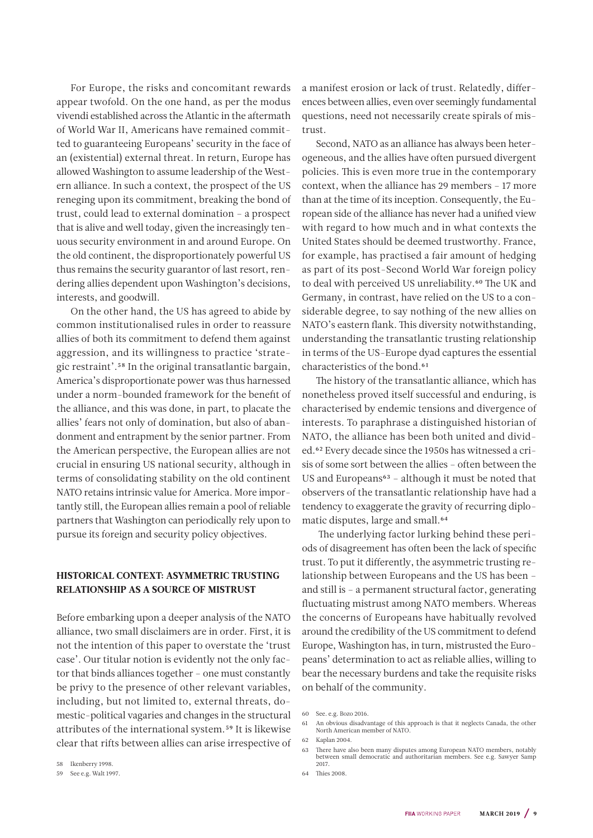<span id="page-8-0"></span>For Europe, the risks and concomitant rewards appear twofold. On the one hand, as per the modus vivendi established across the Atlantic in the aftermath of World War II, Americans have remained committed to guaranteeing Europeans' security in the face of an (existential) external threat. In return, Europe has allowed Washington to assume leadership of the Western alliance. In such a context, the prospect of the US reneging upon its commitment, breaking the bond of trust, could lead to external domination – a prospect that is alive and well today, given the increasingly tenuous security environment in and around Europe. On the old continent, the disproportionately powerful US thus remains the security guarantor of last resort, rendering allies dependent upon Washington's decisions, interests, and goodwill.

On the other hand, the US has agreed to abide by common institutionalised rules in order to reassure allies of both its commitment to defend them against aggression, and its willingness to practice 'strategic restraint'.58 In the original transatlantic bargain, America's disproportionate power was thus harnessed under a norm-bounded framework for the benefit of the alliance, and this was done, in part, to placate the allies' fears not only of domination, but also of abandonment and entrapment by the senior partner. From the American perspective, the European allies are not crucial in ensuring US national security, although in terms of consolidating stability on the old continent NATO retains intrinsic value for America. More importantly still, the European allies remain a pool of reliable partners that Washington can periodically rely upon to pursue its foreign and security policy objectives.

#### HISTORICAL CONTEXT: ASYMMETRIC TRUSTING RELATIONSHIP AS A SOURCE OF MISTRUST

Before embarking upon a deeper analysis of the NATO alliance, two small disclaimers are in order. First, it is not the intention of this paper to overstate the 'trust case'. Our titular notion is evidently not the only factor that binds alliances together – one must constantly be privy to the presence of other relevant variables, including, but not limited to, external threats, domestic-political vagaries and changes in the structural attributes of the international system.59 It is likewise clear that rifts between allies can arise irrespective of

58 Ikenberry 1998.

a manifest erosion or lack of trust. Relatedly, differences between allies, even over seemingly fundamental questions, need not necessarily create spirals of mistrust.

Second, NATO as an alliance has always been heterogeneous, and the allies have often pursued divergent policies. This is even more true in the contemporary context, when the alliance has 29 members – 17 more than at the time of its inception. Consequently, the European side of the alliance has never had a unified view with regard to how much and in what contexts the United States should be deemed trustworthy. France, for example, has practised a fair amount of hedging as part of its post-Second World War foreign policy to deal with perceived US unreliability.<sup>60</sup> The UK and Germany, in contrast, have relied on the US to a considerable degree, to say nothing of the new allies on NATO's eastern flank. This diversity notwithstanding, understanding the transatlantic trusting relationship in terms of the US-Europe dyad captures the essential characteristics of the bond.<sup>61</sup>

The history of the transatlantic alliance, which has nonetheless proved itself successful and enduring, is characterised by endemic tensions and divergence of interests. To paraphrase a distinguished historian of NATO, the alliance has been both united and divided.62 Every decade since the 1950s has witnessed a crisis of some sort between the allies – often between the US and Europeans<sup>63</sup> - although it must be noted that observers of the transatlantic relationship have had a tendency to exaggerate the gravity of recurring diplomatic disputes, large and small.<sup>64</sup>

 The underlying factor lurking behind these periods of disagreement has often been the lack of specific trust. To put it differently, the asymmetric trusting relationship between Europeans and the US has been – and still is – a permanent structural factor, generating fluctuating mistrust among NATO members. Whereas the concerns of Europeans have habitually revolved around the credibility of the US commitment to defend Europe, Washington has, in turn, mistrusted the Europeans' determination to act as reliable allies, willing to bear the necessary burdens and take the requisite risks on behalf of the community.

64 Thies 2008.

<sup>59</sup> See e.g. Walt 1997.

<sup>60</sup> See. e.g. Bozo 2016.

<sup>61</sup> An obvious disadvantage of this approach is that it neglects Canada, the other North American member of NATO.

<sup>62</sup> Kaplan 2004.

<sup>63</sup> There have also been many disputes among European NATO members, notably between small democratic and authoritarian members. See e.g. Sawyer Samp 2017.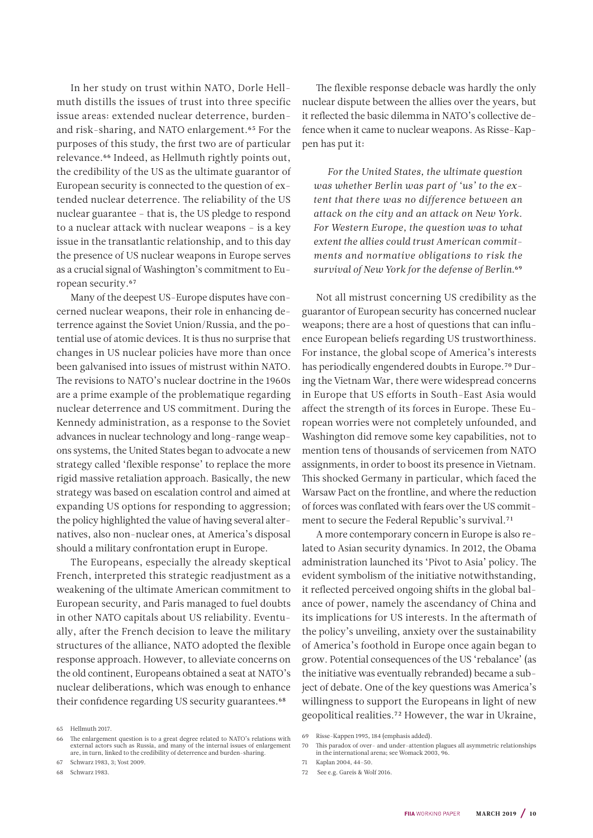In her study on trust within NATO, Dorle Hellmuth distills the issues of trust into three specific issue areas: extended nuclear deterrence, burdenand risk-sharing, and NATO enlargement.65 For the purposes of this study, the first two are of particular relevance.66 Indeed, as Hellmuth rightly points out, the credibility of the US as the ultimate guarantor of European security is connected to the question of extended nuclear deterrence. The reliability of the US nuclear guarantee – that is, the US pledge to respond to a nuclear attack with nuclear weapons – is a key issue in the transatlantic relationship, and to this day the presence of US nuclear weapons in Europe serves as a crucial signal of Washington's commitment to European security.67

Many of the deepest US-Europe disputes have concerned nuclear weapons, their role in enhancing deterrence against the Soviet Union/Russia, and the potential use of atomic devices. It is thus no surprise that changes in US nuclear policies have more than once been galvanised into issues of mistrust within NATO. The revisions to NATO's nuclear doctrine in the 1960s are a prime example of the problematique regarding nuclear deterrence and US commitment. During the Kennedy administration, as a response to the Soviet advances in nuclear technology and long-range weapons systems, the United States began to advocate a new strategy called 'flexible response' to replace the more rigid massive retaliation approach. Basically, the new strategy was based on escalation control and aimed at expanding US options for responding to aggression; the policy highlighted the value of having several alternatives, also non-nuclear ones, at America's disposal should a military confrontation erupt in Europe.

The Europeans, especially the already skeptical French, interpreted this strategic readjustment as a weakening of the ultimate American commitment to European security, and Paris managed to fuel doubts in other NATO capitals about US reliability. Eventually, after the French decision to leave the military structures of the alliance, NATO adopted the flexible response approach. However, to alleviate concerns on the old continent, Europeans obtained a seat at NATO's nuclear deliberations, which was enough to enhance their confidence regarding US security guarantees.<sup>68</sup>

68 Schwarz 1983.

The flexible response debacle was hardly the only nuclear dispute between the allies over the years, but it reflected the basic dilemma in NATO's collective defence when it came to nuclear weapons. As Risse-Kappen has put it:

*For the United States, the ultimate question was whether Berlin was part of 'us' to the extent that there was no difference between an attack on the city and an attack on New York. For Western Europe, the question was to what extent the allies could trust American commitments and normative obligations to risk the survival of New York for the defense of Berlin.*69

Not all mistrust concerning US credibility as the guarantor of European security has concerned nuclear weapons; there are a host of questions that can influence European beliefs regarding US trustworthiness. For instance, the global scope of America's interests has periodically engendered doubts in Europe.<sup>70</sup> During the Vietnam War, there were widespread concerns in Europe that US efforts in South-East Asia would affect the strength of its forces in Europe. These European worries were not completely unfounded, and Washington did remove some key capabilities, not to mention tens of thousands of servicemen from NATO assignments, in order to boost its presence in Vietnam. This shocked Germany in particular, which faced the Warsaw Pact on the frontline, and where the reduction of forces was conflated with fears over the US commitment to secure the Federal Republic's survival.71

A more contemporary concern in Europe is also related to Asian security dynamics. In 2012, the Obama administration launched its 'Pivot to Asia' policy. The evident symbolism of the initiative notwithstanding, it reflected perceived ongoing shifts in the global balance of power, namely the ascendancy of China and its implications for US interests. In the aftermath of the policy's unveiling, anxiety over the sustainability of America's foothold in Europe once again began to grow. Potential consequences of the US 'rebalance' (as the initiative was eventually rebranded) became a subject of debate. One of the key questions was America's willingness to support the Europeans in light of new geopolitical realities.72 However, the war in Ukraine,

<sup>65</sup> Hellmuth 2017.

<sup>66</sup> The enlargement question is to a great degree related to NATO's relations with external actors such as Russia, and many of the internal issues of enlargement are, in turn, linked to the credibility of deterrence and burden-sharing.

<sup>67</sup> Schwarz 1983, 3; Yost 2009.

<sup>69</sup> Risse-Kappen 1995, 184 (emphasis added).

<sup>70</sup> This paradox of over- and under-attention plagues all asymmetric relationships in the international arena; see Womack 2003, 96.

<sup>71</sup> Kaplan 2004, 44–50.

<sup>72</sup> See e.g. Gareis & Wolf 2016.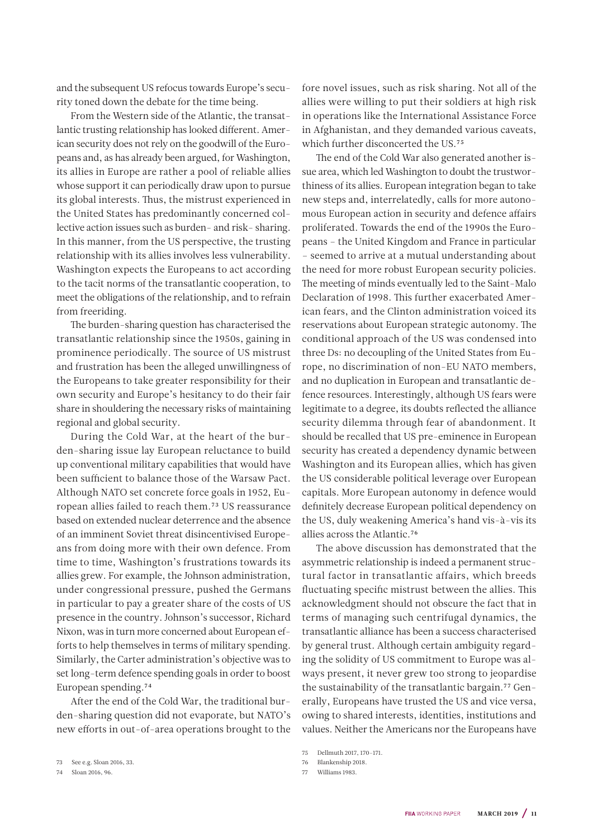and the subsequent US refocus towards Europe's security toned down the debate for the time being.

From the Western side of the Atlantic, the transatlantic trusting relationship has looked different. American security does not rely on the goodwill of the Europeans and, as has already been argued, for Washington, its allies in Europe are rather a pool of reliable allies whose support it can periodically draw upon to pursue its global interests. Thus, the mistrust experienced in the United States has predominantly concerned collective action issues such as burden- and risk- sharing. In this manner, from the US perspective, the trusting relationship with its allies involves less vulnerability. Washington expects the Europeans to act according to the tacit norms of the transatlantic cooperation, to meet the obligations of the relationship, and to refrain from freeriding.

The burden-sharing question has characterised the transatlantic relationship since the 1950s, gaining in prominence periodically. The source of US mistrust and frustration has been the alleged unwillingness of the Europeans to take greater responsibility for their own security and Europe's hesitancy to do their fair share in shouldering the necessary risks of maintaining regional and global security.

During the Cold War, at the heart of the burden-sharing issue lay European reluctance to build up conventional military capabilities that would have been sufficient to balance those of the Warsaw Pact. Although NATO set concrete force goals in 1952, European allies failed to reach them.73 US reassurance based on extended nuclear deterrence and the absence of an imminent Soviet threat disincentivised Europeans from doing more with their own defence. From time to time, Washington's frustrations towards its allies grew. For example, the Johnson administration, under congressional pressure, pushed the Germans in particular to pay a greater share of the costs of US presence in the country. Johnson's successor, Richard Nixon, was in turn more concerned about European efforts to help themselves in terms of military spending. Similarly, the Carter administration's objective was to set long-term defence spending goals in order to boost European spending.74

After the end of the Cold War, the traditional burden-sharing question did not evaporate, but NATO's new efforts in out-of-area operations brought to the

74 Sloan 2016, 96.

fore novel issues, such as risk sharing. Not all of the allies were willing to put their soldiers at high risk in operations like the International Assistance Force in Afghanistan, and they demanded various caveats, which further disconcerted the US.75

The end of the Cold War also generated another issue area, which led Washington to doubt the trustworthiness of its allies. European integration began to take new steps and, interrelatedly, calls for more autonomous European action in security and defence affairs proliferated. Towards the end of the 1990s the Europeans – the United Kingdom and France in particular – seemed to arrive at a mutual understanding about the need for more robust European security policies. The meeting of minds eventually led to the Saint-Malo Declaration of 1998. This further exacerbated American fears, and the Clinton administration voiced its reservations about European strategic autonomy. The conditional approach of the US was condensed into three Ds: no decoupling of the United States from Europe, no discrimination of non-EU NATO members, and no duplication in European and transatlantic defence resources. Interestingly, although US fears were legitimate to a degree, its doubts reflected the alliance security dilemma through fear of abandonment. It should be recalled that US pre-eminence in European security has created a dependency dynamic between Washington and its European allies, which has given the US considerable political leverage over European capitals. More European autonomy in defence would definitely decrease European political dependency on the US, duly weakening America's hand vis-à-vis its allies across the Atlantic.76

The above discussion has demonstrated that the asymmetric relationship is indeed a permanent structural factor in transatlantic affairs, which breeds fluctuating specific mistrust between the allies. This acknowledgment should not obscure the fact that in terms of managing such centrifugal dynamics, the transatlantic alliance has been a success characterised by general trust. Although certain ambiguity regarding the solidity of US commitment to Europe was always present, it never grew too strong to jeopardise the sustainability of the transatlantic bargain.77 Generally, Europeans have trusted the US and vice versa, owing to shared interests, identities, institutions and values. Neither the Americans nor the Europeans have

- 76 Blankenship 2018.
- 77 Williams 1983.

<sup>73</sup> See e.g. Sloan 2016, 33.

<sup>75</sup> Dellmuth 2017, 170–171.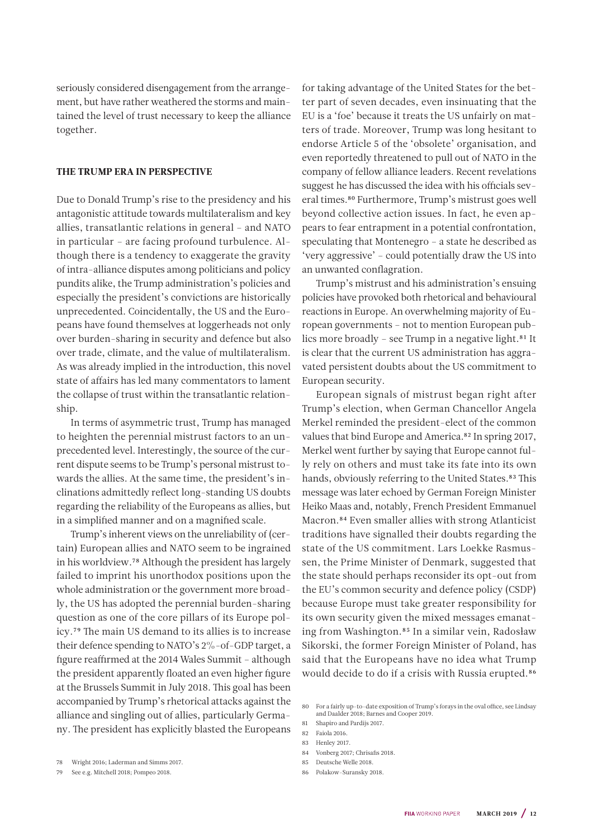seriously considered disengagement from the arrangement, but have rather weathered the storms and maintained the level of trust necessary to keep the alliance together.

#### THE TRUMP ERA IN PERSPECTIVE

Due to Donald Trump's rise to the presidency and his antagonistic attitude towards multilateralism and key allies, transatlantic relations in general – and NATO in particular – are facing profound turbulence. Although there is a tendency to exaggerate the gravity of intra-alliance disputes among politicians and policy pundits alike, the Trump administration's policies and especially the president's convictions are historically unprecedented. Coincidentally, the US and the Europeans have found themselves at loggerheads not only over burden-sharing in security and defence but also over trade, climate, and the value of multilateralism. As was already implied in the introduction, this novel state of affairs has led many commentators to lament the collapse of trust within the transatlantic relationship.

In terms of asymmetric trust, Trump has managed to heighten the perennial mistrust factors to an unprecedented level. Interestingly, the source of the current dispute seems to be Trump's personal mistrust towards the allies. At the same time, the president's inclinations admittedly reflect long-standing US doubts regarding the reliability of the Europeans as allies, but in a simplified manner and on a magnified scale.

Trump's inherent views on the unreliability of (certain) European allies and NATO seem to be ingrained in his worldview.78 Although the president has largely failed to imprint his unorthodox positions upon the whole administration or the government more broadly, the US has adopted the perennial burden-sharing question as one of the core pillars of its Europe policy.79 The main US demand to its allies is to increase their defence spending to NATO's 2%-of-GDP target, a figure reaffirmed at the 2014 Wales Summit – although the president apparently floated an even higher figure at the Brussels Summit in July 2018. This goal has been accompanied by Trump's rhetorical attacks against the alliance and singling out of allies, particularly Germany. The president has explicitly blasted the Europeans

79 See e.g. Mitchell 2018; Pompeo 2018.

for taking advantage of the United States for the better part of seven decades, even insinuating that the EU is a 'foe' because it treats the US unfairly on matters of trade. Moreover, Trump was long hesitant to endorse Article 5 of the 'obsolete' organisation, and even reportedly threatened to pull out of NATO in the company of fellow alliance leaders. Recent revelations suggest he has discussed the idea with his officials several times.80 Furthermore, Trump's mistrust goes well beyond collective action issues. In fact, he even appears to fear entrapment in a potential confrontation, speculating that Montenegro – a state he described as 'very aggressive' – could potentially draw the US into an unwanted conflagration.

Trump's mistrust and his administration's ensuing policies have provoked both rhetorical and behavioural reactions in Europe. An overwhelming majority of European governments – not to mention European publics more broadly - see Trump in a negative light.<sup>81</sup> It is clear that the current US administration has aggravated persistent doubts about the US commitment to European security.

European signals of mistrust began right after Trump's election, when German Chancellor Angela Merkel reminded the president-elect of the common values that bind Europe and America.<sup>82</sup> In spring 2017, Merkel went further by saying that Europe cannot fully rely on others and must take its fate into its own hands, obviously referring to the United States.<sup>83</sup> This message was later echoed by German Foreign Minister Heiko Maas and, notably, French President Emmanuel Macron.84 Even smaller allies with strong Atlanticist traditions have signalled their doubts regarding the state of the US commitment. Lars Loekke Rasmussen, the Prime Minister of Denmark, suggested that the state should perhaps reconsider its opt-out from the EU's common security and defence policy (CSDP) because Europe must take greater responsibility for its own security given the mixed messages emanating from Washington.85 In a similar vein, Radosław Sikorski, the former Foreign Minister of Poland, has said that the Europeans have no idea what Trump would decide to do if a crisis with Russia erupted.86

85 Deutsche Welle 2018.

<sup>78</sup> Wright 2016; Laderman and Simms 2017.

<sup>80</sup> For a fairly up-to-date exposition of Trump's forays in the oval office, see Lindsay and Daalder 2018; Barnes and Cooper 2019.

<sup>81</sup> Shapiro and Pardijs 2017. 82 Faiola 2016.

<sup>83</sup> Henley 2017.

<sup>84</sup> Vonberg 2017; Chrisafis 2018.

<sup>86</sup> Polakow-Suransky 2018.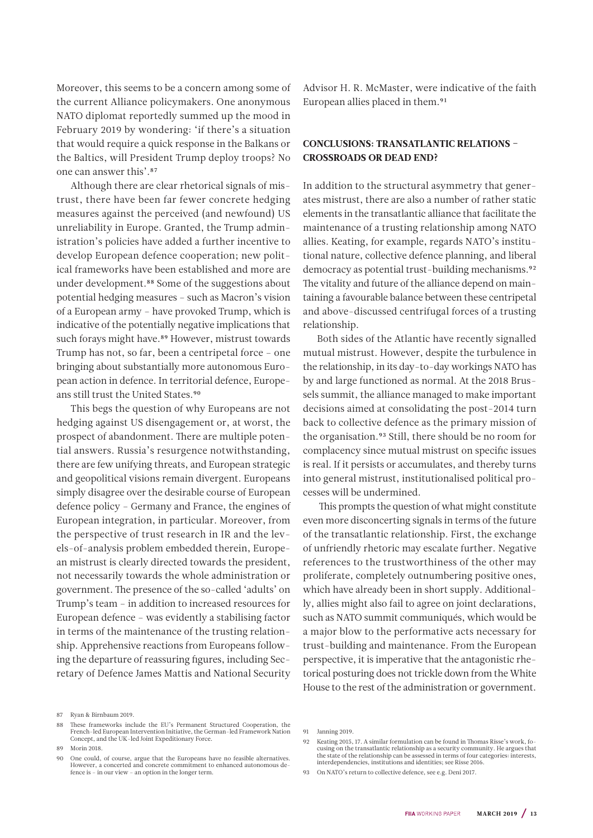Moreover, this seems to be a concern among some of the current Alliance policymakers. One anonymous NATO diplomat reportedly summed up the mood in February 2019 by wondering: 'if there's a situation that would require a quick response in the Balkans or the Baltics, will President Trump deploy troops? No one can answer this'.87

Although there are clear rhetorical signals of mistrust, there have been far fewer concrete hedging measures against the perceived (and newfound) US unreliability in Europe. Granted, the Trump administration's policies have added a further incentive to develop European defence cooperation; new political frameworks have been established and more are under development.88 Some of the suggestions about potential hedging measures – such as Macron's vision of a European army – have provoked Trump, which is indicative of the potentially negative implications that such forays might have.<sup>89</sup> However, mistrust towards Trump has not, so far, been a centripetal force – one bringing about substantially more autonomous European action in defence. In territorial defence, Europeans still trust the United States.<sup>90</sup>

This begs the question of why Europeans are not hedging against US disengagement or, at worst, the prospect of abandonment. There are multiple potential answers. Russia's resurgence notwithstanding, there are few unifying threats, and European strategic and geopolitical visions remain divergent. Europeans simply disagree over the desirable course of European defence policy – Germany and France, the engines of European integration, in particular. Moreover, from the perspective of trust research in IR and the levels-of-analysis problem embedded therein, European mistrust is clearly directed towards the president, not necessarily towards the whole administration or government. The presence of the so-called 'adults' on Trump's team – in addition to increased resources for European defence – was evidently a stabilising factor in terms of the maintenance of the trusting relationship. Apprehensive reactions from Europeans following the departure of reassuring figures, including Secretary of Defence James Mattis and National Security

Advisor H. R. McMaster, were indicative of the faith European allies placed in them.91

#### CONCLUSIONS: TRANSATLANTIC RELATIONS – CROSSROADS OR DEAD END?

In addition to the structural asymmetry that generates mistrust, there are also a number of rather static elements in the transatlantic alliance that facilitate the maintenance of a trusting relationship among NATO allies. Keating, for example, regards NATO's institutional nature, collective defence planning, and liberal democracy as potential trust-building mechanisms.<sup>92</sup> The vitality and future of the alliance depend on maintaining a favourable balance between these centripetal and above-discussed centrifugal forces of a trusting relationship.

Both sides of the Atlantic have recently signalled mutual mistrust. However, despite the turbulence in the relationship, in its day-to-day workings NATO has by and large functioned as normal. At the 2018 Brussels summit, the alliance managed to make important decisions aimed at consolidating the post-2014 turn back to collective defence as the primary mission of the organisation.93 Still, there should be no room for complacency since mutual mistrust on specific issues is real. If it persists or accumulates, and thereby turns into general mistrust, institutionalised political processes will be undermined.

 This prompts the question of what might constitute even more disconcerting signals in terms of the future of the transatlantic relationship. First, the exchange of unfriendly rhetoric may escalate further. Negative references to the trustworthiness of the other may proliferate, completely outnumbering positive ones, which have already been in short supply. Additionally, allies might also fail to agree on joint declarations, such as NATO summit communiqués, which would be a major blow to the performative acts necessary for trust-building and maintenance. From the European perspective, it is imperative that the antagonistic rhetorical posturing does not trickle down from the White House to the rest of the administration or government.

<sup>87</sup> Ryan & Birnbaum 2019.

<sup>88</sup> These frameworks include the EU's Permanent Structured Cooperation, the French-led European Intervention Initiative, the German-led Framework Nation Concept, and the UK-led Joint Expeditionary Force.

<sup>89</sup> Morin 2018.

<sup>90</sup> One could, of course, argue that the Europeans have no feasible alternatives. However, a concerted and concrete commitment to enhanced autonomous defence is – in our view – an option in the longer term.

<sup>91</sup> Janning 2019.

<sup>92</sup> Keating 2015, 17. A similar formulation can be found in Thomas Risse's work, focusing on the transatlantic relationship as a security community. He argues that the state of the relationship can be assessed in terms of four categories: interests, interdependencies, institutions and identities; see Risse 2016.

<sup>93</sup> On NATO's return to collective defence, see e.g. Deni 2017.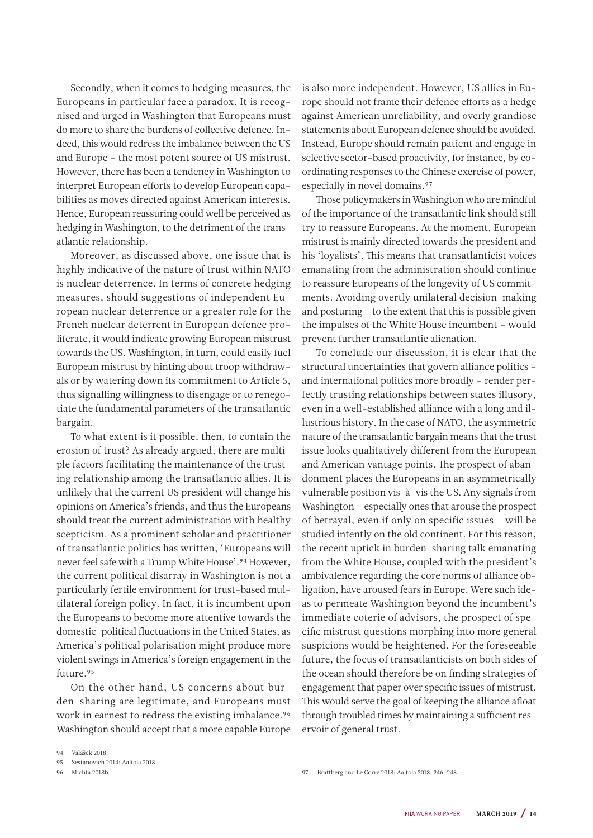Secondly, when it comes to hedging measures, the Europeans in particular face a paradox. It is recognised and urged in Washington that Europeans must do more to share the burdens of collective defence. Indeed, this would redress the imbalance between the US and Europe – the most potent source of US mistrust. However, there has been a tendency in Washington to interpret European efforts to develop European capabilities as moves directed against American interests. Hence, European reassuring could well be perceived as hedging in Washington, to the detriment of the transatlantic relationship.

Moreover, as discussed above, one issue that is highly indicative of the nature of trust within NATO is nuclear deterrence. In terms of concrete hedging measures, should suggestions of independent European nuclear deterrence or a greater role for the French nuclear deterrent in European defence proliferate, it would indicate growing European mistrust towards the US. Washington, in turn, could easily fuel European mistrust by hinting about troop withdrawals or by watering down its commitment to Article 5, thus signalling willingness to disengage or to renegotiate the fundamental parameters of the transatlantic bargain.

To what extent is it possible, then, to contain the erosion of trust? As already argued, there are multiple factors facilitating the maintenance of the trusting relationship among the transatlantic allies. It is unlikely that the current US president will change his opinions on America's friends, and thus the Europeans should treat the current administration with healthy scepticism. As a prominent scholar and practitioner of transatlantic politics has written, 'Europeans will never feel safe with a Trump White House'.94 However, the current political disarray in Washington is not a particularly fertile environment for trust-based multilateral foreign policy. In fact, it is incumbent upon the Europeans to become more attentive towards the domestic-political fluctuations in the United States, as America's political polarisation might produce more violent swings in America's foreign engagement in the future.95

On the other hand, US concerns about burden-sharing are legitimate, and Europeans must work in earnest to redress the existing imbalance.<sup>96</sup> Washington should accept that a more capable Europe is also more independent. However, US allies in Europe should not frame their defence efforts as a hedge against American unreliability, and overly grandiose statements about European defence should be avoided. Instead, Europe should remain patient and engage in selective sector-based proactivity, for instance, by coordinating responses to the Chinese exercise of power, especially in novel domains.<sup>97</sup>

Those policymakers in Washington who are mindful of the importance of the transatlantic link should still try to reassure Europeans. At the moment, European mistrust is mainly directed towards the president and his 'loyalists'. This means that transatlanticist voices emanating from the administration should continue to reassure Europeans of the longevity of US commitments. Avoiding overtly unilateral decision-making and posturing – to the extent that this is possible given the impulses of the White House incumbent – would prevent further transatlantic alienation.

To conclude our discussion, it is clear that the structural uncertainties that govern alliance politics – and international politics more broadly – render perfectly trusting relationships between states illusory, even in a well-established alliance with a long and illustrious history. In the case of NATO, the asymmetric nature of the transatlantic bargain means that the trust issue looks qualitatively different from the European and American vantage points. The prospect of abandonment places the Europeans in an asymmetrically vulnerable position vis-à-vis the US. Any signals from Washington – especially ones that arouse the prospect of betrayal, even if only on specific issues – will be studied intently on the old continent. For this reason, the recent uptick in burden-sharing talk emanating from the White House, coupled with the president's ambivalence regarding the core norms of alliance obligation, have aroused fears in Europe. Were such ideas to permeate Washington beyond the incumbent's immediate coterie of advisors, the prospect of specific mistrust questions morphing into more general suspicions would be heightened. For the foreseeable future, the focus of transatlanticists on both sides of the ocean should therefore be on finding strategies of engagement that paper over specific issues of mistrust. This would serve the goal of keeping the alliance afloat through troubled times by maintaining a sufficient reservoir of general trust.

94 Valášek 2018.

96 Michta 2018b.

<sup>95</sup> Sestanovich 2014; Aaltola 2018.

<sup>97</sup> Brattberg and Le Corre 2018; Aaltola 2018, 246–248.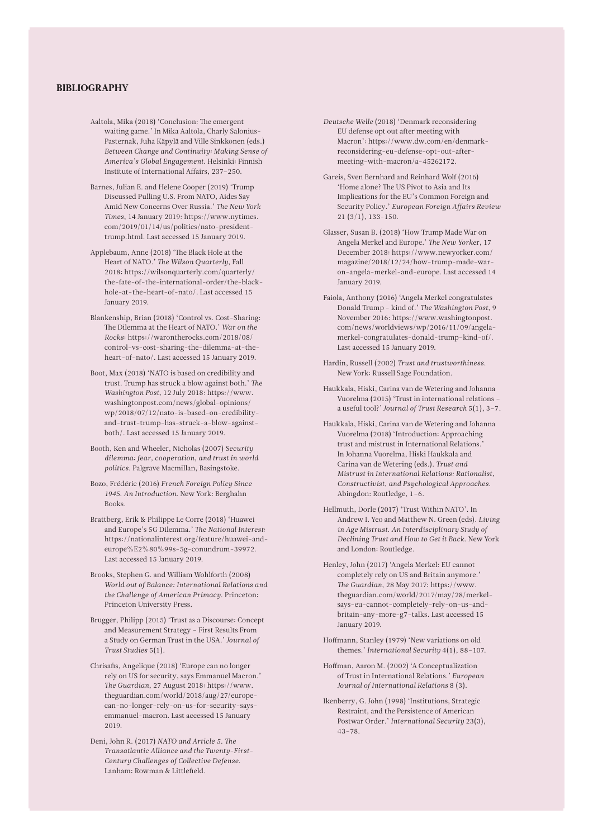#### BIBLIOGRAPHY

- Aaltola, Mika (2018) 'Conclusion: The emergent waiting game.' In Mika Aaltola, Charly Salonius-Pasternak, Juha Käpylä and Ville Sinkkonen (eds.) *Between Change and Continuity: Making Sense of America's Global Engagement*. Helsinki: Finnish Institute of International Affairs, 237–250.
- Barnes, Julian E. and Helene Cooper (2019) 'Trump Discussed Pulling U.S. From NATO, Aides Say Amid New Concerns Over Russia.' *The New York Times*, 14 January 2019: [https://www.nytimes.](https://www.nytimes.com/2019/01/14/us/politics/nato-president-trump.html) [com/2019/01/14/us/politics/nato-president](https://www.nytimes.com/2019/01/14/us/politics/nato-president-trump.html)[trump.html.](https://www.nytimes.com/2019/01/14/us/politics/nato-president-trump.html) Last accessed 15 January 2019.
- Applebaum, Anne (2018) 'The Black Hole at the Heart of NATO.' *The Wilson Quarterly*, Fall 2018: [https://wilsonquarterly.com/quarterly/](https://wilsonquarterly.com/quarterly/the-fate-of-the-international-order/the-black-hole-at-the-heart-of-nato/) [the-fate-of-the-international-order/the-black](https://wilsonquarterly.com/quarterly/the-fate-of-the-international-order/the-black-hole-at-the-heart-of-nato/)[hole-at-the-heart-of-nato/.](https://wilsonquarterly.com/quarterly/the-fate-of-the-international-order/the-black-hole-at-the-heart-of-nato/) Last accessed 15 January 2019.
- Blankenship, Brian (2018) 'Control vs. Cost-Sharing: The Dilemma at the Heart of NATO.' *War on the Rocks*: [https://warontherocks.com/2018/08/](https://warontherocks.com/2018/08/control-vs-cost-sharing-the-dilemma-at-the-heart-of-nato/) [control-vs-cost-sharing-the-dilemma-at-the](https://warontherocks.com/2018/08/control-vs-cost-sharing-the-dilemma-at-the-heart-of-nato/)[heart-of-nato/](https://warontherocks.com/2018/08/control-vs-cost-sharing-the-dilemma-at-the-heart-of-nato/). Last accessed 15 January 2019.
- Boot, Max (2018) 'NATO is based on credibility and trust. Trump has struck a blow against both.' *The Washington Post*, 12 July 2018: [https://www.](https://www.washingtonpost.com/news/global-opinions/wp/2018/07/12/nato-is-based-on-credibility-and-trust-trump-has-struck-a-blow-against-both/?noredirect=on&utm_term=.bc532e737bf3) [washingtonpost.com/news/global-opinions/](https://www.washingtonpost.com/news/global-opinions/wp/2018/07/12/nato-is-based-on-credibility-and-trust-trump-has-struck-a-blow-against-both/?noredirect=on&utm_term=.bc532e737bf3) [wp/2018/07/12/nato-is-based-on-credibility](https://www.washingtonpost.com/news/global-opinions/wp/2018/07/12/nato-is-based-on-credibility-and-trust-trump-has-struck-a-blow-against-both/?noredirect=on&utm_term=.bc532e737bf3)[and-trust-trump-has-struck-a-blow-against](https://www.washingtonpost.com/news/global-opinions/wp/2018/07/12/nato-is-based-on-credibility-and-trust-trump-has-struck-a-blow-against-both/?noredirect=on&utm_term=.bc532e737bf3)[both/](https://www.washingtonpost.com/news/global-opinions/wp/2018/07/12/nato-is-based-on-credibility-and-trust-trump-has-struck-a-blow-against-both/?noredirect=on&utm_term=.bc532e737bf3). Last accessed 15 January 2019.
- Booth, Ken and Wheeler, Nicholas (2007) *Security dilemma: fear, cooperation, and trust in world politics*. Palgrave Macmillan, Basingstoke.
- Bozo, Frédéric (2016) *French Foreign Policy Since 1945. An Introduction*. New York: Berghahn Books.
- Brattberg, Erik & Philippe Le Corre (2018) 'Huawei and Europe's 5G Dilemma.' *The National Interest*: [https://nationalinterest.org/feature/huawei-and](https://nationalinterest.org/feature/huawei-and-europe%E2%80%99s-5g-conundrum-39972?page=0%2C1)[europe%E2%80%99s-5g-conundrum-39972](https://nationalinterest.org/feature/huawei-and-europe%E2%80%99s-5g-conundrum-39972?page=0%2C1). Last accessed 15 January 2019.
- Brooks, Stephen G. and William Wohlforth (2008) *World out of Balance: International Relations and the Challenge of American Primacy*. Princeton: Princeton University Press.
- Brugger, Philipp (2015) 'Trust as a Discourse: Concept and Measurement Strategy – First Results From a Study on German Trust in the USA.' *Journal of Trust Studies* 5(1).
- Chrisafis, Angelique (2018) 'Europe can no longer rely on US for security, says Emmanuel Macron.' *The Guardian*, 27 August 2018: [https://www.](https://www.theguardian.com/world/2018/aug/27/europe-can-no-longer-rely-on-us-for-security-says-emmanuel-macron) [theguardian.com/world/2018/aug/27/europe](https://www.theguardian.com/world/2018/aug/27/europe-can-no-longer-rely-on-us-for-security-says-emmanuel-macron)[can-no-longer-rely-on-us-for-security-says](https://www.theguardian.com/world/2018/aug/27/europe-can-no-longer-rely-on-us-for-security-says-emmanuel-macron)[emmanuel-macron](https://www.theguardian.com/world/2018/aug/27/europe-can-no-longer-rely-on-us-for-security-says-emmanuel-macron). Last accessed 15 January 2019.
- Deni, John R. (2017) *NATO and Article 5. The Transatlantic Alliance and the Twenty-First-Century Challenges of Collective Defense*. Lanham: Rowman & Littlefield.
- *Deutsche Welle* (2018) 'Denmark reconsidering EU defense opt out after meeting with Macron': [https://www.dw.com/en/denmark](https://www.dw.com/en/denmark-reconsidering-eu-defense-opt-out-after-meeting-with-macron/a-45262172)[reconsidering-eu-defense-opt-out-after](https://www.dw.com/en/denmark-reconsidering-eu-defense-opt-out-after-meeting-with-macron/a-45262172)[meeting-with-macron/a-45262172](https://www.dw.com/en/denmark-reconsidering-eu-defense-opt-out-after-meeting-with-macron/a-45262172).
- Gareis, Sven Bernhard and Reinhard Wolf (2016) 'Home alone? The US Pivot to Asia and Its Implications for the EU's Common Foreign and Security Policy.' *European Foreign Affairs Review*  21 (3/1), 133-150.
- Glasser, Susan B. (2018) 'How Trump Made War on Angela Merkel and Europe.' *The New Yorke*r, 17 December 2018: [https://www.newyorker.com/](https://www.newyorker.com/magazine/2018/12/24/how-trump-made-war-on-angela-merkel-and-europe/amp?__twitter_impression=true) [magazine/2018/12/24/how-trump-made-war](https://www.newyorker.com/magazine/2018/12/24/how-trump-made-war-on-angela-merkel-and-europe/amp?__twitter_impression=true)[on-angela-merkel-and-europe](https://www.newyorker.com/magazine/2018/12/24/how-trump-made-war-on-angela-merkel-and-europe/amp?__twitter_impression=true). Last accessed 14 January 2019.
- Faiola, Anthony (2016) 'Angela Merkel congratulates Donald Trump - kind of.' *The Washington Post*, 9 November 2016: [https://www.washingtonpost.](https://www.washingtonpost.com/news/worldviews/wp/2016/11/09/angela-merkel-congratulates-donald-trump-kind-of/) [com/news/worldviews/wp/2016/11/09/angela](https://www.washingtonpost.com/news/worldviews/wp/2016/11/09/angela-merkel-congratulates-donald-trump-kind-of/)[merkel-congratulates-donald-trump-kind-of/](https://www.washingtonpost.com/news/worldviews/wp/2016/11/09/angela-merkel-congratulates-donald-trump-kind-of/). Last accessed 15 January 2019.
- Hardin, Russell (2002) *Trust and trustworthiness*. New York: Russell Sage Foundation.
- Haukkala, Hiski, Carina van de Wetering and Johanna Vuorelma (2015) 'Trust in international relations – a useful tool?' *Journal of Trust Research* 5(1), 3–7.
- Haukkala, Hiski, Carina van de Wetering and Johanna Vuorelma (2018) 'Introduction: Approaching trust and mistrust in International Relations.' In Johanna Vuorelma, Hiski Haukkala and Carina van de Wetering (eds.). *Trust and Mistrust in International Relations: Rationalist, Constructivist, and Psychological Approaches*. Abingdon: Routledge, 1–6.
- Hellmuth, Dorle (2017) 'Trust Within NATO'. In Andrew I. Yeo and Matthew N. Green (eds). *Living in Age Mistrust. An Interdisciplinary Study of Declining Trust and How to Get it Back*. New York and London: Routledge.
- Henley, John (2017) 'Angela Merkel: EU cannot completely rely on US and Britain anymore.' *The Guardian*, 28 May 2017: [https://www.](https://www.theguardian.com/world/2017/may/28/merkel-says-eu-cannot-completely-rely-on-us-and-britain-any-more-g7-talks) [theguardian.com/world/2017/may/28/merkel](https://www.theguardian.com/world/2017/may/28/merkel-says-eu-cannot-completely-rely-on-us-and-britain-any-more-g7-talks)[says-eu-cannot-completely-rely-on-us-and](https://www.theguardian.com/world/2017/may/28/merkel-says-eu-cannot-completely-rely-on-us-and-britain-any-more-g7-talks)[britain-any-more-g7-talks](https://www.theguardian.com/world/2017/may/28/merkel-says-eu-cannot-completely-rely-on-us-and-britain-any-more-g7-talks). Last accessed 15 January 2019.
- Hoffmann, Stanley (1979) 'New variations on old themes.' *International Security* 4(1), 88–107.
- Hoffman, Aaron M. (2002) 'A Conceptualization of Trust in International Relations.' *European Journal of International Relations* 8 (3).
- Ikenberry, G. John (1998) 'Institutions, Strategic Restraint, and the Persistence of American Postwar Order.' *International Security* 23(3), 43–78.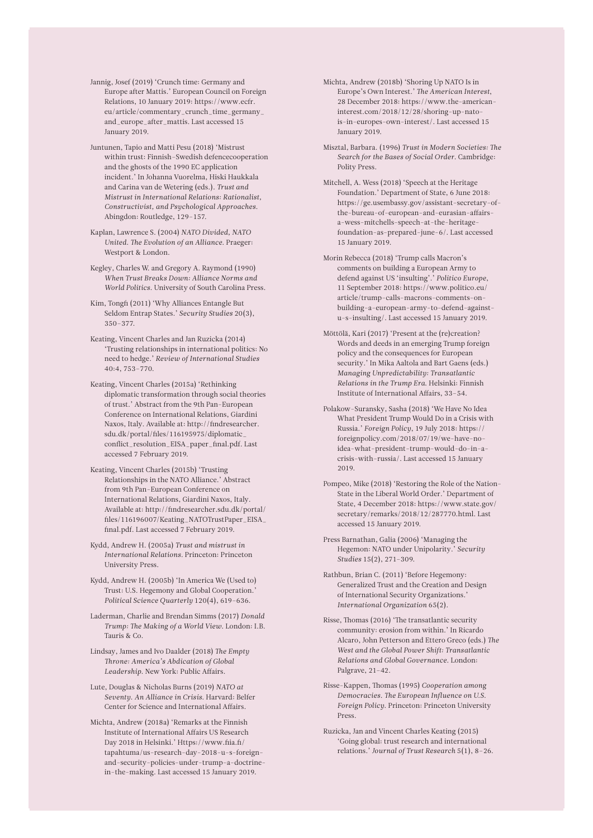- Jannig, Josef (2019) 'Crunch time: Germany and Europe after Mattis.' European Council on Foreign Relations, 10 January 2019: [https://www.ecfr.](https://www.ecfr.eu/article/commentary_crunch_time_germany_and_europe_after_mattis) [eu/article/commentary\\_crunch\\_time\\_germany\\_](https://www.ecfr.eu/article/commentary_crunch_time_germany_and_europe_after_mattis) [and\\_europe\\_after\\_mattis](https://www.ecfr.eu/article/commentary_crunch_time_germany_and_europe_after_mattis). Last accessed 15 January 2019.
- Juntunen, Tapio and Matti Pesu (2018) 'Mistrust within trust: Finnish–Swedish defencecooperation and the ghosts of the 1990 EC application incident.' In Johanna Vuorelma, Hiski Haukkala and Carina van de Wetering (eds.). *Trust and Mistrust in International Relations: Rationalist, Constructivist, and Psychological Approaches*. Abingdon: Routledge, 129–157.
- Kaplan, Lawrence S. (2004) *NATO Divided, NATO United. The Evolution of an Alliance*. Praeger: Westport & London.
- Kegley, Charles W. and Gregory A. Raymond (1990) *When Trust Breaks Down: Alliance Norms and World Politics*. University of South Carolina Press.
- Kim, Tongfi (2011) 'Why Alliances Entangle But Seldom Entrap States.' *Security Studies* 20(3), 350–377.
- Keating, Vincent Charles and Jan Ruzicka (2014) 'Trusting relationships in international politics: No need to hedge.' *Review of International Studies* 40:4, 753–770.
- Keating, Vincent Charles (2015a) 'Rethinking diplomatic transformation through social theories of trust.' Abstract from the 9th Pan-European Conference on International Relations, Giardini Naxos, Italy. Available at: [http://findresearcher.](http://findresearcher.sdu.dk/portal/files/116195975/diplomatic_conflict_resolution_EISA_paper_final.pdf) [sdu.dk/portal/files/116195975/diplomatic\\_](http://findresearcher.sdu.dk/portal/files/116195975/diplomatic_conflict_resolution_EISA_paper_final.pdf) [conflict\\_resolution\\_EISA\\_paper\\_final.pdf](http://findresearcher.sdu.dk/portal/files/116195975/diplomatic_conflict_resolution_EISA_paper_final.pdf). Last accessed 7 February 2019.
- Keating, Vincent Charles (2015b) 'Trusting Relationships in the NATO Alliance.' Abstract from 9th Pan-European Conference on International Relations, Giardini Naxos, Italy. Available at: [http://findresearcher.sdu.dk/portal/](http://findresearcher.sdu.dk/portal/files/116196007/Keating_NATOTrustPaper_EISA_final.pdf) [files/116196007/Keating\\_NATOTrustPaper\\_EISA\\_](http://findresearcher.sdu.dk/portal/files/116196007/Keating_NATOTrustPaper_EISA_final.pdf) [final.pdf](http://findresearcher.sdu.dk/portal/files/116196007/Keating_NATOTrustPaper_EISA_final.pdf). Last accessed 7 February 2019.
- Kydd, Andrew H. (2005a) *Trust and mistrust in International Relations.* Princeton: Princeton University Press.
- Kydd, Andrew H. (2005b) 'In America We (Used to) Trust: U.S. Hegemony and Global Cooperation.' *Political Science Quarterly* 120(4), 619–636.
- Laderman, Charlie and Brendan Simms (2017) *Donald Trump: The Making of a World View*. London: I.B. Tauris & Co.
- Lindsay, James and Ivo Daalder (2018) *The Empty Throne: America's Abdication of Global Leadership*. New York: Public Affairs.
- Lute, Douglas & Nicholas Burns (2019) *NATO at Seventy. An Alliance in Crisis*. Harvard: Belfer Center for Science and International Affairs.
- Michta, Andrew (2018a) 'Remarks at the Finnish Institute of International Affairs US Research Day 2018 in Helsinki.' H[ttps://www.fiia.fi/](https://www.fiia.fi/tapahtuma/us-research-day-2018-u-s-foreign-and-security-policies-under-trump-a-doctrine-in-the-making) [tapahtuma/us-research-day-2018-u-s-foreign](https://www.fiia.fi/tapahtuma/us-research-day-2018-u-s-foreign-and-security-policies-under-trump-a-doctrine-in-the-making)[and-security-policies-under-trump-a-doctrine](https://www.fiia.fi/tapahtuma/us-research-day-2018-u-s-foreign-and-security-policies-under-trump-a-doctrine-in-the-making)[in-the-making](https://www.fiia.fi/tapahtuma/us-research-day-2018-u-s-foreign-and-security-policies-under-trump-a-doctrine-in-the-making). Last accessed 15 January 2019.
- Michta, Andrew (2018b) 'Shoring Up NATO Is in Europe's Own Interest.' *The American Interest*, 28 December 2018: [https://www.the-american](https://www.the-american-interest.com/2018/12/28/shoring-up-nato-is-in-europes-own-interest/)[interest.com/2018/12/28/shoring-up-nato](https://www.the-american-interest.com/2018/12/28/shoring-up-nato-is-in-europes-own-interest/)[is-in-europes-own-interest/.](https://www.the-american-interest.com/2018/12/28/shoring-up-nato-is-in-europes-own-interest/) Last accessed 15 January 2019.
- Misztal, Barbara. (1996) *Trust in Modern Societies: The Search for the Bases of Social Order*. Cambridge: Polity Press.
- Mitchell, A. Wess (2018) 'Speech at the Heritage Foundation.' Department of State, 6 June 2018: [https://ge.usembassy.gov/assistant-secretary-of](https://ge.usembassy.gov/assistant-secretary-of-the-bureau-of-european-and-eurasian-affairs-a-wess-mitchells-speech-at-the-heritage-foundation-as-prepared-june-6/)[the-bureau-of-european-and-eurasian-affairs](https://ge.usembassy.gov/assistant-secretary-of-the-bureau-of-european-and-eurasian-affairs-a-wess-mitchells-speech-at-the-heritage-foundation-as-prepared-june-6/)[a-wess-mitchells-speech-at-the-heritage](https://ge.usembassy.gov/assistant-secretary-of-the-bureau-of-european-and-eurasian-affairs-a-wess-mitchells-speech-at-the-heritage-foundation-as-prepared-june-6/)[foundation-as-prepared-june-6/](https://ge.usembassy.gov/assistant-secretary-of-the-bureau-of-european-and-eurasian-affairs-a-wess-mitchells-speech-at-the-heritage-foundation-as-prepared-june-6/). Last accessed 15 January 2019.
- Morin Rebecca (2018) 'Trump calls Macron's comments on building a European Army to defend against US 'insulting'.' *Politico Europe*, 11 September 2018: [https://www.politico.eu/](https://www.politico.eu/article/trump-calls-macrons-comments-on-building-a-european-army-to-defend-against-u-s-insulting/) [article/trump-calls-macrons-comments-on](https://www.politico.eu/article/trump-calls-macrons-comments-on-building-a-european-army-to-defend-against-u-s-insulting/)[building-a-european-army-to-defend-against](https://www.politico.eu/article/trump-calls-macrons-comments-on-building-a-european-army-to-defend-against-u-s-insulting/)[u-s-insulting/](https://www.politico.eu/article/trump-calls-macrons-comments-on-building-a-european-army-to-defend-against-u-s-insulting/). Last accessed 15 January 2019.
- Möttölä, Kari (2017) 'Present at the (re)creation? Words and deeds in an emerging Trump foreign policy and the consequences for European security.' In Mika Aaltola and Bart Gaens (eds.) *Managing Unpredictability: Transatlantic Relations in the Trump Era*. Helsinki: Finnish Institute of International Affairs, 33–54.
- Polakow-Suransky, Sasha (2018) 'We Have No Idea What President Trump Would Do in a Crisis with Russia.' *Foreign Policy*, 19 July 2018: [https://](https://foreignpolicy.com/2018/07/19/we-have-no-idea-what-president-trump-would-do-in-a-crisis-with-russia/) [foreignpolicy.com/2018/07/19/we-have-no](https://foreignpolicy.com/2018/07/19/we-have-no-idea-what-president-trump-would-do-in-a-crisis-with-russia/)[idea-what-president-trump-would-do-in-a](https://foreignpolicy.com/2018/07/19/we-have-no-idea-what-president-trump-would-do-in-a-crisis-with-russia/)[crisis-with-russia/](https://foreignpolicy.com/2018/07/19/we-have-no-idea-what-president-trump-would-do-in-a-crisis-with-russia/). Last accessed 15 January 2019.
- Pompeo, Mike (2018) 'Restoring the Role of the Nation-State in the Liberal World Order.' Department of State, 4 December 2018: [https://www.state.gov/](https://www.state.gov/secretary/remarks/2018/12/287770.htm) [secretary/remarks/2018/12/287770.htm](https://www.state.gov/secretary/remarks/2018/12/287770.htm)l. Last accessed 15 January 2019.
- Press Barnathan, Galia (2006) 'Managing the Hegemon: NATO under Unipolarity.' *Security Studies* 15(2), 271–309.
- Rathbun, Brian C. (2011) 'Before Hegemony: Generalized Trust and the Creation and Design of International Security Organizations.' *International Organization* 65(2).
- Risse, Thomas (2016) 'The transatlantic security community: erosion from within.' In Ricardo Alcaro, John Petterson and Ettero Greco (eds.) *The West and the Global Power Shift: Transatlantic Relations and Global Governance*. London: Palgrave, 21–42.
- Risse-Kappen, Thomas (1995) *Cooperation among Democracies. The European Influence on U.S. Foreign Policy*. Princeton: Princeton University Press.
- Ruzicka, Jan and Vincent Charles Keating (2015) 'Going global: trust research and international relations.' *Journal of Trust Research* 5(1), 8–26.